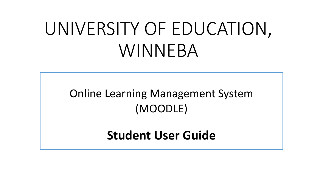# UNIVERSITY OF EDUCATION, WINNEBA

### Online Learning Management System (MOODLE)

### **Student User Guide**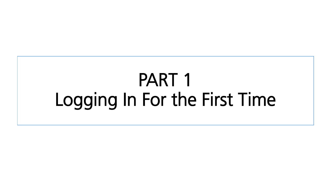# PART 1 For the Logging In For the First Time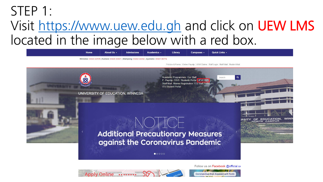## STEP 1: Visit https://www.uew.edu.gh and click on UEW LMS  $V = V \cdot V$  is the image below with a red box



Follow us on Facebook @official.ue



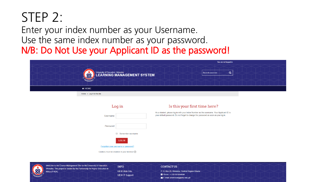# STEP 2:

Enter your index number as your Username. Use the same index number as your password. N/B: Do Not Use your Applicant ID as the password!

| You are not logged in.                                                                                                           |
|----------------------------------------------------------------------------------------------------------------------------------|
| University of Education, Winneball <b>Containers</b> Containers of Education, Winneball <b>Containers</b><br>Q<br>Search courses |
| <b>A</b> HOME                                                                                                                    |
| Home » Log in to the site                                                                                                        |

Log in

**Hearnamo** 

### Is this your first time here?

As a student, please log in with your Index Number as the username. Your Applicant ID is your default password. Do not forget to change the password as soon as you log in

| ---------- |                                      |  |
|------------|--------------------------------------|--|
|            |                                      |  |
| Password   |                                      |  |
|            | Remember username                    |  |
|            | <b>LOG IN</b>                        |  |
|            | Forgotten your username or password? |  |

Cookies must be enabled in your browser (?)

Welcome to the Course Management Site for the University of Education **INFO** Vinneba. This project is funded by the Partnership for Higher Education in **UEW Web Site UEW IT Support** 

### **CONTACTUS**

P. O. Box 25, Winneba, Central Region-Ghana Phone: +233 501434044 E-mail: ictservices@uew.edu.gh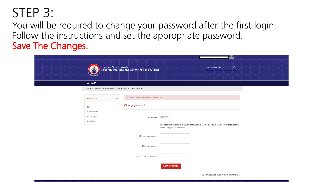STEP 3:<br>You will be required to change your password after the first login. Follow the instructions and set the appropriate password. Save The Changes

| 83                                            |                                                                 | University of Education, Winneba <b>Concrete State of Education</b> | Search courses                                                                                                                         | <b>LUT</b><br>$\vert \alpha \vert$ |  |
|-----------------------------------------------|-----------------------------------------------------------------|---------------------------------------------------------------------|----------------------------------------------------------------------------------------------------------------------------------------|------------------------------------|--|
| <b>A</b> HOME                                 |                                                                 |                                                                     |                                                                                                                                        |                                    |  |
|                                               | Home » Dashboard » Preferences » User account » Change password |                                                                     |                                                                                                                                        |                                    |  |
| Navigation                                    | $ \leq$                                                         | You must change your password to proceed.                           |                                                                                                                                        |                                    |  |
| Home                                          |                                                                 | Change password                                                     |                                                                                                                                        |                                    |  |
| Dashboard<br>$\blacktriangleright$ Site pages |                                                                 |                                                                     |                                                                                                                                        |                                    |  |
| Courses                                       |                                                                 | <b>Username</b>                                                     | 200015086                                                                                                                              |                                    |  |
|                                               |                                                                 |                                                                     | The password must have at least 6 characters, at least 1 digit(s), at least 1 lower case letter(s),<br>at least 1 upper case letter(s) |                                    |  |
|                                               |                                                                 | Current password*                                                   |                                                                                                                                        |                                    |  |
|                                               |                                                                 |                                                                     |                                                                                                                                        |                                    |  |
|                                               |                                                                 | New password*                                                       |                                                                                                                                        |                                    |  |
|                                               |                                                                 | New password (again)*                                               |                                                                                                                                        |                                    |  |
|                                               |                                                                 |                                                                     | <b>SAVE CHANGES</b>                                                                                                                    |                                    |  |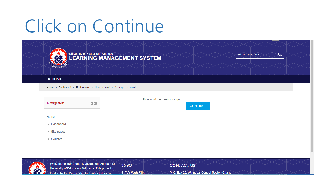

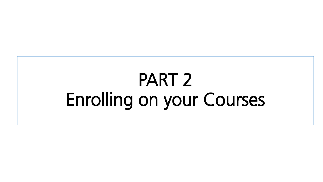# $\overline{on}$  vou Enrolling on your Courses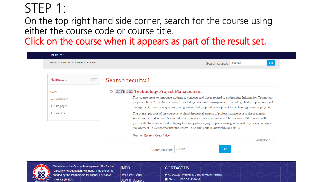### STEP 1:

On the top right hand side corner, search for the course using either the course code or course title.

Click on the course when it appears a

| Home » Courses » Search » icte 365 | Go<br>Search courses: icte 365                                                                                                                                                                               |
|------------------------------------|--------------------------------------------------------------------------------------------------------------------------------------------------------------------------------------------------------------|
| Navigation<br>$\Box$<br>$\lhd$     | Search results: 1                                                                                                                                                                                            |
|                                    |                                                                                                                                                                                                              |
| Home                               | <b>ICTE 365 Technology Project Management</b><br>ಿ                                                                                                                                                           |
| • Dashboard                        | This course seeks to introduce students to concepts and issues related to undertaking Information Technology                                                                                                 |
|                                    |                                                                                                                                                                                                              |
| Site pages                         | projects. It will explore concepts including resource management, including budget planning and<br>management, resource acquisition, and grant and bid proposal development for technology systems projects. |
| Courses<br>ь.                      | The overall purpose of the course is to blend theoretical aspects of project management to the pragmatic                                                                                                     |
|                                    | situations the student will face in industry or in academic environments. The outcome of the course will                                                                                                     |
|                                    | provide the foundation for developing technology-based project plans, management and experience in project                                                                                                   |
|                                    | management. It is expected that students will also gain certain knowledge and skills.<br>Teacher: Ephrem Kwaa-Aidoo                                                                                          |



Welcome to the Course Management Site for the University of Education, Winneba. This project is funded by the Partnership for Higher Education in Africa (PHEA).

**INFO UEW Web Site UEW IT Support** 

### **CONTACTUS**

P.O. Box 25, Winneba, Central Region-Ghana C Phone: +233 501434044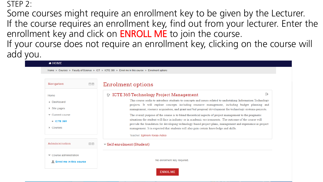STEP 2:<br>Some courses might require an enrollment key to be given by the Lecturer. If the course requires an enrollment key, find out from your lecturer. Enter the enrollment key and click on **ENROLL ME** to join the course. If your course does not require an enrollment key clicking. If your course does not require an enrollment key, clicking on the course will

| <b>* HOME</b>                               |                 |                                                                                                                                                                                                                        |
|---------------------------------------------|-----------------|------------------------------------------------------------------------------------------------------------------------------------------------------------------------------------------------------------------------|
|                                             |                 | Home » Courses » Faculty of Science » ICT » ICTE 365 » Enrol me in this course » Enrolment options                                                                                                                     |
|                                             |                 |                                                                                                                                                                                                                        |
| Navigation                                  | $\Box$<br>$\in$ | Enrolment options                                                                                                                                                                                                      |
| Home                                        |                 | ⊩<br><b>CTE 365 Technology Project Management</b>                                                                                                                                                                      |
| Dashboard                                   |                 | This course seeks to introduce students to concepts and issues related to undertaking Information Technology<br>projects. It will explore concepts including resource management, including budget planning and        |
| $\triangleright$ Site pages                 |                 | management, resource acquisition, and grant and bid proposal development for technology systems projects.                                                                                                              |
| $\blacktriangleright$ Current course        |                 | The overall purpose of the course is to blend theoretical aspects of project management to the pragmatic                                                                                                               |
| <b>ICTE 365</b>                             |                 | situations the student will face in industry or in academic environments. The outcome of the course will<br>provide the foundation for developing technology-based project plans, management and experience in project |
| $\triangleright$ Courses                    |                 | management. It is expected that students will also gain certain knowledge and skills.                                                                                                                                  |
|                                             |                 | Teacher: Ephrem Kwaa-Aidoo                                                                                                                                                                                             |
| Administration                              | $-<$            | $\blacktriangledown$ Self enrolment (Student)                                                                                                                                                                          |
| $\blacktriangleright$ Course administration |                 |                                                                                                                                                                                                                        |
| <b>Enrol me in this course</b>              |                 | No enrolment key required.                                                                                                                                                                                             |

ENROL ME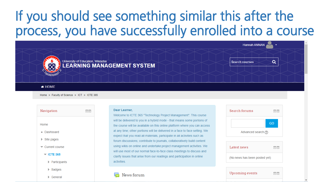# If you should see something similar this after the process, you have successfully enrolled into a course



Home » Faculty of Science » ICT » ICTE 365

 $\Box$ Navigation Home Dashboard  $\triangleright$  Site pages  $\blacktriangleright$  Current course  $\overline{V}$  ICTE 365  $\blacktriangleright$  Participants  $\triangleright$  Badges  $\triangleright$  General

### Dear Learner.

News forum

Welcome to ICTE 365 "Technology Project Management". This course will be delivered to you in a hybrid mode - that means some portions of the course will be available on this online platform where you can access at any time; other portions will be delivered in a face to face setting. We expect that you read all materials, participate in all activities such as forum discussions; contribute to journals, collaboratively build content using wikis on online and undertake project management activities. We will use most of our normal face-to-face class meetings to discuss and clarify issues that arise from our readings and participation in online activities.

### Search forums 回す GO. Advanced search ?



 $\Box$